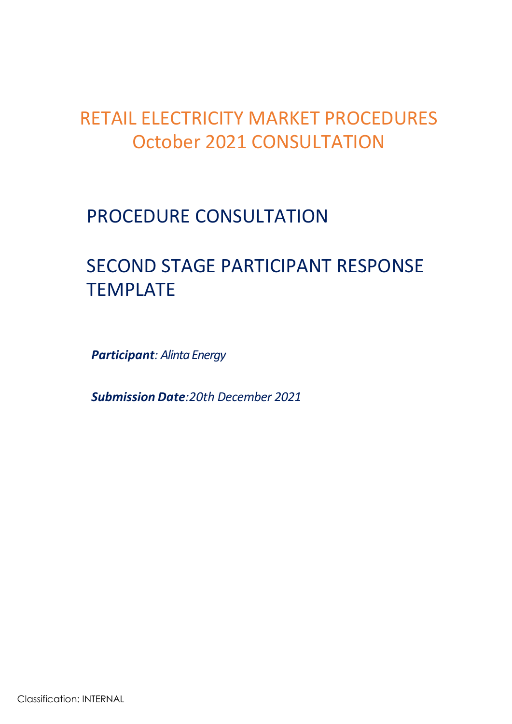## RETAIL ELECTRICITY MARKET PROCEDURES October 2021 CONSULTATION

### PROCEDURE CONSULTATION

# SECOND STAGE PARTICIPANT RESPONSE TEMPLATE

*Participant: Alinta Energy*

*Submission Date:20th December 2021*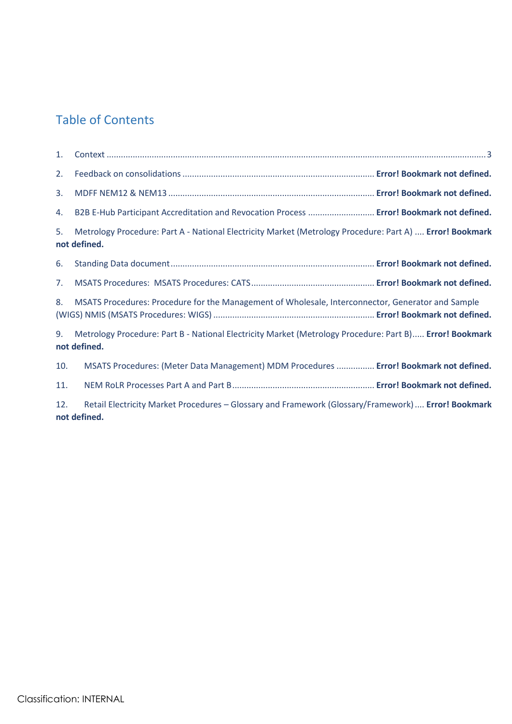#### Table of Contents

| 1.  |                                                                                                                          |  |
|-----|--------------------------------------------------------------------------------------------------------------------------|--|
| 2.  |                                                                                                                          |  |
| 3.  |                                                                                                                          |  |
| 4.  | B2B E-Hub Participant Accreditation and Revocation Process  Error! Bookmark not defined.                                 |  |
| 5.  | Metrology Procedure: Part A - National Electricity Market (Metrology Procedure: Part A)  Error! Bookmark<br>not defined. |  |
| 6.  |                                                                                                                          |  |
| 7.  |                                                                                                                          |  |
| 8.  | MSATS Procedures: Procedure for the Management of Wholesale, Interconnector, Generator and Sample                        |  |
| 9.  | Metrology Procedure: Part B - National Electricity Market (Metrology Procedure: Part B) Error! Bookmark<br>not defined.  |  |
| 10. | MSATS Procedures: (Meter Data Management) MDM Procedures  Error! Bookmark not defined.                                   |  |
| 11. |                                                                                                                          |  |
| 12. | Retail Electricity Market Procedures - Glossary and Framework (Glossary/Framework)  Error! Bookmark<br>not defined.      |  |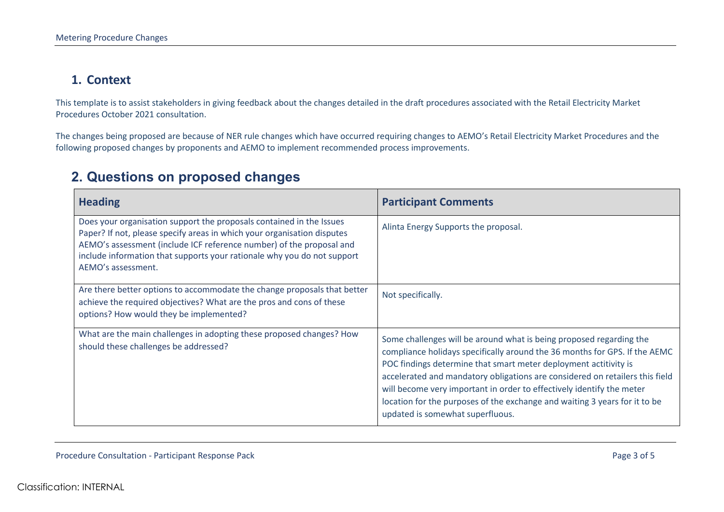#### **1. Context**

This template is to assist stakeholders in giving feedback about the changes detailed in the draft procedures associated with the Retail Electricity Market Procedures October 2021 consultation.

The changes being proposed are because of NER rule changes which have occurred requiring changes to AEMO's Retail Electricity Market Procedures and the following proposed changes by proponents and AEMO to implement recommended process improvements.

#### **2. Questions on proposed changes**

<span id="page-2-0"></span>

| <b>Heading</b>                                                                                                                                                                                                                                                                                                           | <b>Participant Comments</b>                                                                                                                                                                                                                                                                                                                                                                                                                                                                      |
|--------------------------------------------------------------------------------------------------------------------------------------------------------------------------------------------------------------------------------------------------------------------------------------------------------------------------|--------------------------------------------------------------------------------------------------------------------------------------------------------------------------------------------------------------------------------------------------------------------------------------------------------------------------------------------------------------------------------------------------------------------------------------------------------------------------------------------------|
| Does your organisation support the proposals contained in the Issues<br>Paper? If not, please specify areas in which your organisation disputes<br>AEMO's assessment (include ICF reference number) of the proposal and<br>include information that supports your rationale why you do not support<br>AEMO's assessment. | Alinta Energy Supports the proposal.                                                                                                                                                                                                                                                                                                                                                                                                                                                             |
| Are there better options to accommodate the change proposals that better<br>achieve the required objectives? What are the pros and cons of these<br>options? How would they be implemented?                                                                                                                              | Not specifically.                                                                                                                                                                                                                                                                                                                                                                                                                                                                                |
| What are the main challenges in adopting these proposed changes? How<br>should these challenges be addressed?                                                                                                                                                                                                            | Some challenges will be around what is being proposed regarding the<br>compliance holidays specifically around the 36 months for GPS. If the AEMC<br>POC findings determine that smart meter deployment actitivity is<br>accelerated and mandatory obligations are considered on retailers this field<br>will become very important in order to effectively identify the meter<br>location for the purposes of the exchange and waiting 3 years for it to be<br>updated is somewhat superfluous. |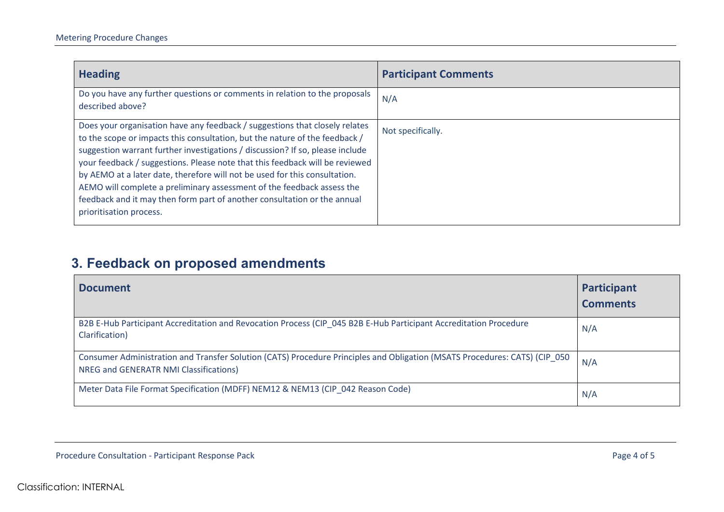| <b>Heading</b>                                                                                                                                                                                                                                                                                                                                                                                                                                                                                                                                                                             | <b>Participant Comments</b> |
|--------------------------------------------------------------------------------------------------------------------------------------------------------------------------------------------------------------------------------------------------------------------------------------------------------------------------------------------------------------------------------------------------------------------------------------------------------------------------------------------------------------------------------------------------------------------------------------------|-----------------------------|
| Do you have any further questions or comments in relation to the proposals<br>described above?                                                                                                                                                                                                                                                                                                                                                                                                                                                                                             | N/A                         |
| Does your organisation have any feedback / suggestions that closely relates<br>to the scope or impacts this consultation, but the nature of the feedback /<br>suggestion warrant further investigations / discussion? If so, please include<br>your feedback / suggestions. Please note that this feedback will be reviewed<br>by AEMO at a later date, therefore will not be used for this consultation.<br>AEMO will complete a preliminary assessment of the feedback assess the<br>feedback and it may then form part of another consultation or the annual<br>prioritisation process. | Not specifically.           |

### **3. Feedback on proposed amendments**

| <b>Document</b>                                                                                                                                                      | Participant<br><b>Comments</b> |
|----------------------------------------------------------------------------------------------------------------------------------------------------------------------|--------------------------------|
| B2B E-Hub Participant Accreditation and Revocation Process (CIP 045 B2B E-Hub Participant Accreditation Procedure<br>Clarification)                                  | N/A                            |
| Consumer Administration and Transfer Solution (CATS) Procedure Principles and Obligation (MSATS Procedures: CATS) (CIP_050<br>NREG and GENERATR NMI Classifications) | N/A                            |
| Meter Data File Format Specification (MDFF) NEM12 & NEM13 (CIP 042 Reason Code)                                                                                      | N/A                            |